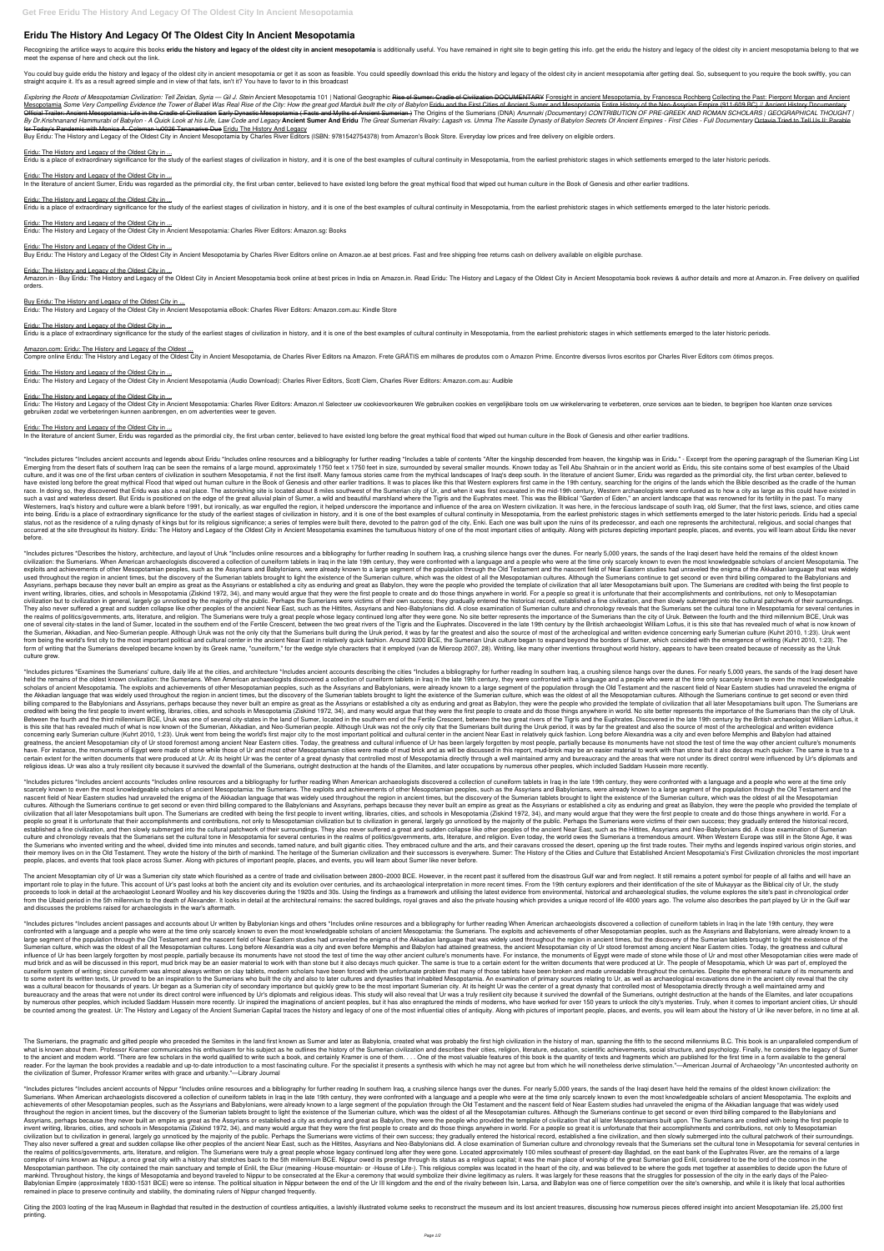# **Eridu The History And Legacy Of The Oldest City In Ancient Mesopotamia**

Recognizing the artifice ways to acquire this books eridu the history and legacy of the oldest city in ancient mesopotamia is additionally useful. You have remained in right site to begin getting this info. get the eridu t meet the expense of here and check out the link.

You could buy guide eridu the history and legacy of the oldest city in ancient mesopotamia or get it as soon as feasible. You could speedily download this eridu the history and legacy of the oldest city in ancient mesopota straight acquire it. It's as a result agreed simple and in view of that fats, isn't it? You have to favor to in this broadcast

Exploring the Roots of Mesopotamian Civilization: Tell Zeidan, Syria - Gil J. Stein Ancient Mesopotamia 101 | National Geographic Rise of Sumer: Cradle of Civilization DOCUMENTARY Foresight in ancient Mesopotamia, by Franc Mesopotamia Some Very Compelling Evidence the Tower of Babel Was Real Rise of the City: How the great god Marduk built the city of Babylon Eridu and the First Cities of Ancient Sumer and Mesopotamia Entire History of the N Official Trailer: Ancient Mesopotamia: Life in the Cradle of Civilization Early Dynastic Mesopotamia ( Facts and Myths of Ancient Sumerian ) The Origins of the Sumerians (DNA) Anunnaki (Documentary) CONTRIBUTION OF PRE-GRE By Dr.Krishnanand Hammurabi of Babylon - A Quick Look at his Life, Law Code and Legacy Ancient Sumer And Eridu The Great Sumerian Rivalry: Lagash vs. Umma The Kassite Dynasty of Babylon Secrets Of Ancient Empires - First C for Today's Pandemic with Monica A. Coleman \u0026 Tananarive Due Eridu The History And Legacy

Buy Eridu: The History and Legacy of the Oldest City in Ancient Mesopotamia by Charles River Editors (ISBN: 9781542754378) from Amazon's Book Store. Everyday low prices and free delivery on eligible orders.

Amazon.in - Buy Eridu: The History and Legacy of the Oldest City in Ancient Mesopotamia book online at best prices in India on Amazon.in. Read Eridu: The History and Legacy of the Oldest City in Ancient Mesopotamia book re orders.

#### Buy Eridu: The History and Legacy of the Oldest City in ...

### Eridu: The History and Legacy of the Oldest City in ...

Eridu is a place of extraordinary significance for the study of the earliest stages of civilization in history, and it is one of the best examples of cultural continuity in Mesopotamia, from the earliest prehistoric stages

## Eridu: The History and Legacy of the Oldest City in ...

In the literature of ancient Sumer, Eridu was regarded as the primordial city, the first urban center, believed to have existed long before the great mythical flood that wiped out human culture in the Book of Genesis and o

Eridu: The History and Legacy of the Oldest City in Ancient Mesopotamia: Charles River Editors: Amazon.nl Selecteer uw cookievoorkeuren We gebruiken cookies en vergelijkbare tools om uw winkelervaring te verbeteren, onze s gebruiken zodat we verbeteringen kunnen aanbrengen, en om advertenties weer te geven.

## Eridu: The History and Legacy of the Oldest City in ...

Eridu is a place of extraordinary significance for the study of the earliest stages of civilization in history, and it is one of the best examples of cultural continuity in Mesopotamia, from the earliest prehistoric stages

## Eridu: The History and Legacy of the Oldest City in ...

Eridu: The History and Legacy of the Oldest City in Ancient Mesopotamia: Charles River Editors: Amazon.sg: Books

## Eridu: The History and Legacy of the Oldest City in ...

Buy Eridu: The History and Legacy of the Oldest City in Ancient Mesopotamia by Charles River Editors online on Amazon.ae at best prices. Fast and free shipping free returns cash on delivery available on eligible purchase.

#### Eridu: The History and Legacy of the Oldest City in ...

Eridu: The History and Legacy of the Oldest City in Ancient Mesopotamia eBook: Charles River Editors: Amazon.com.au: Kindle Store

## Eridu: The History and Legacy of the Oldest City in ...

Eridu is a place of extraordinary significance for the study of the earliest stages of civilization in history, and it is one of the best examples of cultural continuity in Mesopotamia, from the earliest prehistoric stages

\*Includes pictures \*Includes ancient accounts and legends about Eridu \*Includes online resources and a bibliography for further reading \*Includes a table of contents "After the kingship descended from heaven, the kingship Emerging from the desert flats of southern Iraq can be seen the remains of a large mound, approximately 1750 feet x 1750 feet in size, surrounded by several smaller mounds. Known today as Tell Abu Shahrain or in the ancien culture, and it was one of the first urban centers of civilization in southern Mesopotamia, if not the first itself. Many famous stories came from the mythical landscapes of Iraq's deep south. In the literature of ancient have existed long before the great mythical Flood that wiped out human culture in the Book of Genesis and other earlier traditions. It was to places like this that Western explorers first came in the 19th century, searchin race. In doing so, they discovered that Eridu was also a real place. The astonishing site is located about 8 miles southwest of the Sumerian city of Ur, and when it was first excavated in the mid-19th century. Western arch such a vast and waterless desert. But Eridu is positioned on the edge of the great alluvial plain of Sumer, a wild and beautiful marshland where the Tigris and the Euphrates meet. This was the Biblical "Garden of Eden," an Westerners, Iraq's history and culture were a blank before 1991, but ironically, as war engulfed the region, it helped underscore the importance and influence of the area on Western civilization. It was here, in the feroci into being. Eridu is a place of extraordinary significance for the study of the earliest stages of civilization in history, and it is one of the best examples of cultural continuity in Mesopotamia, from the earliest prehis status, not as the residence of a ruling dynasty of kings but for its religious significance; a series of temples were built there, devoted to the patron god of the city, Enki. Each one was built upon the ruins of its pred occurred at the site throughout its history. Eridu: The History and Legacy of the Oldest City in Ancient Mesopotamia examines the tumultuous history of one of the most important cities of antiquity. Along with pictures dep before.

\*Includes pictures \*Describes the history, architecture, and layout of Uruk \*Includes online resources and a bibliography for further reading In southern Irag, a crushing silence hangs over the dunes. For nearly 5,000 year civilization: the Sumerians. When American archaeologists discovered a collection of cuneiform tablets in Iraq in the late 19th century, they were confronted with a language and a people who were at the time only scarcely exploits and achievements of other Mesopotamian peoples, such as the Assyrians and Babylonians, were already known to a large segment of the population through the Old Testament and the nascent field of Near Eastern studie used throughout the region in ancient times, but the discovery of the Sumerian tablets brought to light the existence of the Sumerian culture, which was the oldest of all the Mesopotamian cultures. Although the Sumerians c Assyrians, perhaps because they never built an empire as great as the Assyrians or established a city as enduring and great as Babylon, they were the people who provided the template of civilization that all later Mesopota invent writing. libraries, cities, and schools in Mesopotamia (Ziskind 1972, 34), and many would arque that they were the first people to create and do those things anywhere in world. For a people so great it is unfortunat civilization but to civilization in general, largely go unnoticed by the majority of the public. Perhaps the Sumerians were victims of their own success; they gradually entered the historical record, established a fine civ They also never suffered a great and sudden collapse like other peoples of the ancient Near East, such as the Hittites, Assyrians and Neo-Babylonians did. A close examination of Sumerian culture and chronology reveals that the realms of politics/governments, arts, literature, and religion. The Sumerians were truly a great people whose legacy continued long after they were gone. No site better represents the importance of the Sumerians than t one of several city-states in the land of Sumer. located in the southern end of the Fertile Crescent, between the two great rivers of the Tigris and the Euphrates. Discovered in the late 19th century by the British archaeo the Sumerian, Akkadian, and Neo-Sumerian people. Although Uruk was not the only city that the Sumerians built during the Uruk period, it was by far the greatest and also the source of most of the archeological and written from being the world's first city to the most important political and cultural center in the ancient Near East in relatively quick fashion. Around 3200 BCE, the Sumerian Uruk culture began to expand beyond the borders of S form of writing that the Sumerians developed became known by its Greek name. "cuneiform." for the wedge style characters that it employed (van de Mieroop 2007, 28). Writing, like many other inventions throughout world hist culture grew.

\*Includes pictures \*Examines the Sumerians' culture, daily life at the cities, and architecture \*Includes ancient accounts describing the cities \*Includes a bibliography for further reading In southern Irag, a crushing sil held the remains of the oldest known civilization; the Sumerians. When American archaeologists discovered a collection of cuneiform tablets in Irag in the late 19th century, they were confronted with a language and a peopl scholars of ancient Mesopotamia. The exploits and achievements of other Mesopotamian peoples, such as the Assyrians and Babylonians, were already known to a large segment of the population through the Old Testament and the the Akkadian language that was widely used throughout the region in ancient times, but the discovery of the Sumerian tablets brought to light the existence of the Sumerian culture, which was the oldest of all the Mesopotam billing compared to the Babylonians and Assyrians, perhaps because they never built an empire as great as the Assyrians or established a city as enduring and great as Babylon, they were the people who provided the template credited with being the first people to invent writing, libraries, cities, and schools in Mesopotamia (Ziskind 1972, 34), and many would arque that they were the first people to create and do those things anywhere in world Between the fourth and the third millennium BCE, Uruk was one of several city-states in the land of Sumer, located in the southern end of the Fertile Crescent, between the two great rivers of the Figris and the Euphrates. is this site that has revealed much of what is now known of the Sumerian. Akkadian, and Neo-Sumerian people. Although Uruk was not the only city that the Sumerians built during the Uruk period, it was by far the greatest a concerning early Sumerian culture (Kuhrt 2010, 1:23). Uruk went from being the world's first maior city to the most important political and cultural center in the ancient Near East in relatively quick fashion. Long before greatness, the ancient Mesopotamian city of Ur stood foremost among ancient Near Eastern cities. Today, the greatness and cultural influence of Ur has been largely forgotten by most people, partially because its monuments have. For instance, the monuments of Egypt were made of stone while those of Ur and most other Mesopotamian cities were made of mud brick and as will be discussed in this report, mud-brick may be an easier material to work certain extent for the written documents that were produced at Ur. At its height Ur was the center of a great dynasty that controlled most of Mesopotamia directly through a well maintained army and bureaucracy and the area religious ideas. Ur was also a truly resilient city because it survived the downfall of the Sumerians, outright destruction at the hands of the Elamites, and later occupations by numerous other peoples, which included Sadd

## Amazon.com: Eridu: The History and Legacy of the Oldest ...

Compre online Eridu: The History and Legacy of the Oldest City in Ancient Mesopotamia, de Charles River Editors na Amazon. Frete GRÁTIS em milhares de produtos com o Amazon Prime. Encontre diversos livros escritos por Char

## Eridu: The History and Legacy of the Oldest City in ...

Eridu: The History and Legacy of the Oldest City in Ancient Mesopotamia (Audio Download): Charles River Editors, Scott Clem, Charles River Editors: Amazon.com.au: Audible

#### Eridu: The History and Legacy of the Oldest City in ...

#### Eridu: The History and Legacy of the Oldest City in ...

In the literature of ancient Sumer, Eridu was regarded as the primordial city, the first urban center, believed to have existed long before the great mythical flood that wiped out human culture in the Book of Genesis and o

\*Includes pictures \*Includes ancient accounts \*Includes online resources and a bibliography for further reading When American archaeologists discovered a collection of cuneiform tablets in Irag in the late 19th century, th scarcely known to even the most knowledgeable scholars of ancient Mesopotamia: the Sumerians. The exploits and achievements of other Mesopotamian peoples, such as the Assyrians and Babylonians, were already known to a larg nascent field of Near Eastern studies had unraveled the enigma of the Akkadian language that was widely used throughout the region in ancient times, but the discovery of the Sumerian tablets brought to light the existence cultures. Although the Sumerians continue to get second or even third billing compared to the Babylonians and Assyrians, perhaps because they never built an empire as great as the Assyrians or established a city as endurin civilization that all later Mesopotamians built upon. The Sumerians are credited with being the first people to invent writing, libraries, cities, and schools in Mesopotamia (Ziskind 1972, 34), and many would arque that th people so great it is unfortunate that their accomplishments and contributions, not only to Mesopotamian civilization but to civilization in general, largely go unnoticed by the majority of the public. Perhaps the Sumerian established a fine civilization, and then slowly submerged into the cultural patchwork of their surroundings. They also never suffered a great and sudden collapse like other peoples of the ancient Near East, such as the Hi culture and chronology reveals that the Sumerians set the cultural tone in Mesopotamia for several centuries in the realms of politics/governments, arts, literature, and religion. Even today, the world owes the Sumerians a the Sumerians who invented writing and the wheel, divided time into minutes and seconds, tamed nature, and built gigantic cities. They embraced culture and the arts, and their caravans crossed the desert, opening up the fi their memory lives on in the Old Testament. They wrote the history of the birth of mankind. The heritage of the Sumerian civilization and their successors is everywhere. Sumer: The History of the Cities and Culture that Es people, places, and events that took place across Sumer. Along with pictures of important people, places, and events, you will learn about Sumer like never before.

The ancient Mesoptamian city of Ur was a Sumerian city state which flourished as a centre of trade and civilisation between 2800-2000 BCE. However, in the recent past it suffered from the disastrous Gulf war and from negle important role to play in the future. This account of Ur's past looks at both the ancient city and its evolution over centuries, and its archaeological interpretation in more recent times. From the 19th century explorers a proceeds to look in detail at the archaeologist Leonard Woolley and his key discoveries during the 1920s and 30s. Using the findings as a framework and utilising the latest evidence from environmental, historical and archa from the Ubaid period in the 5th millennium to the death of Alexander. It looks in detail at the architectural remains: the sacred buildings, royal graves and also the private housing which provides a unique record of life and discusses the problems raised for archaeologists in the war's aftermath.

\*Includes pictures \*Includes ancient passages and accounts about Ur written by Babylonian kings and others \*Includes online resources and a bibliography for further reading When American archaeologists discovered a collect confronted with a language and a people who were at the time only scarcely known to even the most knowledgeable scholars of ancient Mesopotamia: the Sumerians. The exploits and achievements of other Mesopotamian peoples, s large segment of the population through the Old Testament and the nascent field of Near Eastern studies had unraveled the enigma of the Akkadian language that was widely used throughout the region in ancient times, but the Sumerian culture, which was the oldest of all the Mesopotamian cultures. Long before Alexandria was a city and even before Memphis and Babylon had attained greatness, the ancient Mesopotamian city of Ur stood foremost amon influence of Ur has been largely forgotten by most people, partially because its monuments have not stood the test of time the way other ancient culture's monuments have. For instance, the monuments of Egypt were made of s mud brick and as will be discussed in this report, mud brick may be an easier material to work with than stone but it also decays much quicker. The same is true to a certain extent for the written documents that were produ cuneiform system of writing; since cuneiform was almost always written on clay tablets, modern scholars have been forced with the unfortunate problem that many of those tablets have been broken and made unreadable througho to some extent its written texts. Ur proved to be an inspiration to the Sumerians who built the city and also to later cultures and dynasties that inhabited Mesopotamia. An examination of primary sources relating to Ur, as was a cultural beacon for thousands of vears. Ur began as a Sumerian city of secondary importance but quickly grew to be the most important Sumerian city. At its height Ur was the center of a great dynasty that controlled bureaucracy and the areas that were not under its direct control were influenced by Ur's diplomats and religious ideas. This study will also reveal that Ur was a truly resilient city because it survived the downfall of the by numerous other peoples, which included Saddam Hussein more recently. Ur inspired the imaginations of ancient peoples, but it has also enraptured the minds of moderns, who have worked for over 150 years to unlock the cit be counted among the greatest. Ur: The History and Legacy of the Ancient Sumerian Capital traces the history and legacy of one of the most influential cities of antiquity. Along with pictures of important people, places, a

The Sumerians, the pragmatic and gifted people who preceded the Semites in the land first known as Sumer and later as Babylonia, created what was probably the first high civilization in the history of man, spanning the fif what is known about them. Professor Kramer communicates his enthusiasm for his subject as he outlines the history of the Sumerian civilization and describes their cities, religion, literature, education, scientific achieve to the ancient and modern world. "There are few scholars in the world qualified to write such a book, and certainly Kramer is one of them. . . . One of the most valuable features of this book is the quantity of texts and f reader. For the layman the book provides a readable and up-to-date introduction to a most fascinating culture. For the specialist it presents a synthesis with which he may not agree but from which he will nonetheless deriv the civilization of Sumer, Professor Kramer writes with grace and urbanity."—Library Journal

\*Includes pictures \*Includes ancient accounts of Nippur \*Includes online resources and a bibliography for further reading In southern Irag, a crushing silence hangs over the dunes. For nearly 5,000 years, the sands of the Sumerians. When American archaeologists discovered a collection of cuneiform tablets in Iraq in the late 19th century, they were confronted with a language and a people who were at the time only scarcely known to even the achievements of other Mesopotamian peoples, such as the Assyrians and Babylonians, were already known to a large segment of the population through the Old Testament and the nascent field of Near Eastern studies had unravel throughout the region in ancient times, but the discovery of the Sumerian tablets brought to light the existence of the Sumerian culture, which was the oldest of all the Mesopotamian cultures. Although the Sumerians contin Assyrians, perhaps because they never built an empire as great as the Assyrians or established a city as enduring and great as Babylon, they were the people who provided the template of civilization that all later Mesopota invent writing, libraries, cities, and schools in Mesopotamia (Ziskind 1972, 34), and many would argue that they were the first people to create and do those things anywhere in world. For a people so great it is unfortunat civilization but to civilization in general, largely go unnoticed by the majority of the public. Perhaps the Sumerians were victims of their own success; they gradually entered the historical record, established a fine civ They also never suffered a great and sudden collapse like other peoples of the ancient Near East, such as the Hittites, Assyrians and Neo-Babylonians did. A close examination of Sumerian culture and chronology reveals that the realms of politics/governments, arts, literature, and religion. The Sumerians were truly a great people whose legacy continued long after they were gone. Located approximately 100 miles southeast of present-day Baghdad complex of ruins known as Nippur, a once great city with a history that stretches back to the 5th millennium BCE. Nippur owed its prestige through its status as a religious capital; it was the main place of worship of the Mesopotamian pantheon. The city contained the main sanctuary and temple of Enlil, the Ekur (meaning -House-mountain- or -House of Life-). This religious complex was located in the heart of the city, and was believed to be mankind. Throughout history, the kings of Mesopotamia and beyond traveled to Nippur to be consecrated at the Ekur-a ceremony that would symbolize their divine legitimacy as rulers. It was largely for these reasons that the Babylonian Empire (approximately 1830-1531 BCE) were so intense. The political situation in Nippur between the end of the Ur III kingdom and the end of the rivalry between Isin, Larsa, and Babylon was one of fierce competi remained in place to preserve continuity and stability, the dominating rulers of Nippur changed frequently.

Citing the 2003 looting of the Iraq Museum in Baghdad that resulted in the destruction of countless antiquities, a lavishly illustrated volume seeks to reconstruct the museum and its lost ancient treasures, discussing how printing.